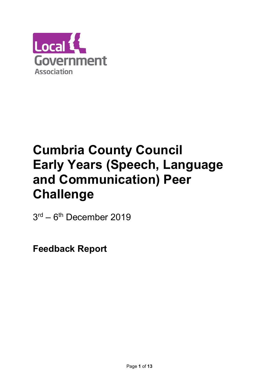

# Cumbria County Council Early Years (Speech, Language and Communication) Peer Challenge

3 rd – 6th December 2019

Feedback Report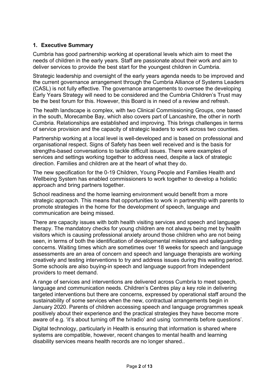## 1. Executive Summary

Cumbria has good partnership working at operational levels which aim to meet the needs of children in the early years. Staff are passionate about their work and aim to deliver services to provide the best start for the youngest children in Cumbria.

Strategic leadership and oversight of the early years agenda needs to be improved and the current governance arrangement through the Cumbria Alliance of Systems Leaders (CASL) is not fully effective. The governance arrangements to oversee the developing Early Years Strategy will need to be considered and the Cumbria Children's Trust may be the best forum for this. However, this Board is in need of a review and refresh.

The health landscape is complex, with two Clinical Commissioning Groups, one based in the south, Morecambe Bay, which also covers part of Lancashire, the other in north Cumbria. Relationships are established and improving. This brings challenges in terms of service provision and the capacity of strategic leaders to work across two counties.

Partnership working at a local level is well-developed and is based on professional and organisational respect. Signs of Safety has been well received and is the basis for strengths-based conversations to tackle difficult issues. There were examples of services and settings working together to address need, despite a lack of strategic direction. Families and children are at the heart of what they do.

The new specification for the 0-19 Children, Young People and Families Health and Wellbeing System has enabled commissioners to work together to develop a holistic approach and bring partners together.

School readiness and the home learning environment would benefit from a more strategic approach. This means that opportunities to work in partnership with parents to promote strategies in the home for the development of speech, language and communication are being missed.

There are capacity issues with both health visiting services and speech and language therapy. The mandatory checks for young children are not always being met by health visitors which is causing professional anxiety around those children who are not being seen, in terms of both the identification of developmental milestones and safeguarding concerns. Waiting times which are sometimes over 18 weeks for speech and language assessments are an area of concern and speech and language therapists are working creatively and testing interventions to try and address issues during this waiting period. Some schools are also buying-in speech and language support from independent providers to meet demand.

A range of services and interventions are delivered across Cumbria to meet speech, language and communication needs. Children's Centres play a key role in delivering targeted interventions but there are concerns, expressed by operational staff around the sustainability of some services when the new, contractual arrangements begin in January 2020. Parents of children accessing speech and language programmes speak positively about their experience and the practical strategies they have become more aware of e.g. 'it's about turning off the tv/radio' and using 'comments before questions'.

Digital technology, particularly in Health is ensuring that information is shared where systems are compatible, however, recent changes to mental health and learning disability services means health records are no longer shared..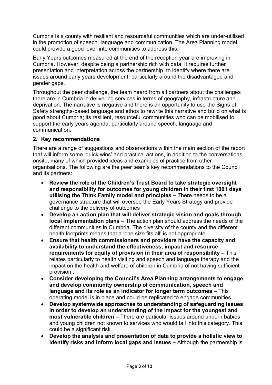Cumbria is a county with resilient and resourceful communities which are under-utilised in the promotion of speech, language and communication. The Area Planning model could provide a good lever into communities to address this.

Early Years outcomes measured at the end of the reception year are improving in Cumbria. However, despite being a partnership rich with data, it requires further presentation and interpretation across the partnership to identify where there are issues around early years development, particularly around the disadvantaged and gender gaps.

Throughout the peer challenge, the team heard from all partners about the challenges there are in Cumbria in delivering services in terms of geography, infrastructure and deprivation. The narrative is negative and there is an opportunity to use the Signs of Safety strengths-based language and ethos to rewrite this narrative and build on what is good about Cumbria; its resilient, resourceful communities who can be mobilised to support the early years agenda, particularly around speech, language and communication.

#### 2. Key recommendations

There are a range of suggestions and observations within the main section of the report that will inform some 'quick wins' and practical actions, in addition to the conversations onsite, many of which provided ideas and examples of practice from other organisations. The following are the peer team's key recommendations to the Council and its partners:

- Review the role of the Children's Trust Board to take strategic oversight and responsibility for outcomes for young children in their first 1001 days utilising the Think Family model and principles – There needs to be a governance structure that will oversee the Early Years Strategy and provide challenge to the delivery of outcomes
- Develop an action plan that will deliver strategic vision and goals through local implementation plans – The action plan should address the needs of the different communities in Cumbria. The diversity of the county and the different health footprints means that a 'one size fits all' is not appropriate.
- Ensure that health commissioners and providers have the capacity and availability to understand the effectiveness, impact and resource requirements for equity of provision in their area of responsibility – This relates particularly to health visiting and speech and language therapy and the impact on the health and welfare of children in Cumbria of not having sufficient provision .
- Consider developing the Council's Area Planning arrangements to engage and develop community ownership of communication, speech and language and its role as an indicator for longer term outcomes – This operating model is in place and could be replicated to engage communities.
- Develop systemwide approaches to understanding of safeguarding issues in order to develop an understanding of the impact for the youngest and most vulnerable children – There are particular issues around unborn babies and young children not known to services who would fall into this category. This could be a significant risk.
- Develop the analysis and presentation of data to provide a holistic view to identify risks and inform local gaps and issues – Although the partnership is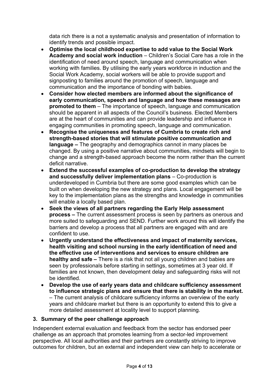data rich there is a not a systematic analysis and presentation of information to identify trends and possible impact.

- Optimise the local childhood expertise to add value to the Social Work Academy and social work induction – Children's Social Care has a role in the identification of need around speech, language and communication when working with families. By utilising the early years workforce in induction and the Social Work Academy, social workers will be able to provide support and signposting to families around the promotion of speech, language and communication and the importance of bonding with babies.
- Consider how elected members are informed about the significance of early communication, speech and language and how these messages are promoted to them – The importance of speech, language and communication should be apparent in all aspects of the Council's business. Elected Members are at the heart of communities and can provide leadership and influence in engaging communities in promoting speech, language and communication.
- Recognise the uniqueness and features of Cumbria to create rich and strength-based stories that will stimulate positive communication and language – The geography and demographics cannot in many places be changed. By using a positive narrative about communities, mindsets will begin to change and a strength-based approach become the norm rather than the current deficit narrative.
- Extend the successful examples of co-production to develop the strategy and successfully deliver implementation plans – Co-production is underdeveloped in Cumbria but there are some good examples which can be built on when developing the new strategy and plans. Local engagement will be key to the implementation plans as the strengths and knowledge in communities will enable a locally based plan.
- Seek the views of all partners regarding the Early Help assessment process – The current assessment process is seen by partners as onerous and more suited to safeguarding and SEND. Further work around this will identify the barriers and develop a process that all partners are engaged with and are confident to use.
- Urgently understand the effectiveness and impact of maternity services, health visiting and school nursing in the early identification of need and the effective use of interventions and services to ensure children are healthy and safe – There is a risk that not all young children and babies are seen by professionals before starting in settings, sometimes at 3 year old. If families are not known, then development delay and safeguarding risks will not be identified.
- Develop the use of early years data and childcare sufficiency assessment to influence strategic plans and ensure that there is stability in the market. – The current analysis of childcare sufficiency informs an overview of the early years and childcare market but there is an opportunity to extend this to give a more detailed assessment at locality level to support planning.

## 3. Summary of the peer challenge approach

Independent external evaluation and feedback from the sector has endorsed peer challenge as an approach that promotes learning from a sector-led improvement perspective. All local authorities and their partners are constantly striving to improve outcomes for children, but an external and independent view can help to accelerate or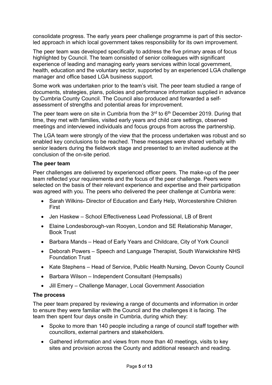consolidate progress. The early years peer challenge programme is part of this sectorled approach in which local government takes responsibility for its own improvement.

The peer team was developed specifically to address the five primary areas of focus highlighted by Council. The team consisted of senior colleagues with significant experience of leading and managing early years services within local government, health, education and the voluntary sector, supported by an experienced LGA challenge manager and office based LGA business support.

Some work was undertaken prior to the team's visit. The peer team studied a range of documents, strategies, plans, policies and performance information supplied in advance by Cumbria County Council. The Council also produced and forwarded a selfassessment of strengths and potential areas for improvement.

The peer team were on site in Cumbria from the  $3<sup>rd</sup>$  to  $6<sup>th</sup>$  December 2019. During that time, they met with families, visited early years and child care settings, observed meetings and interviewed individuals and focus groups from across the partnership.

The LGA team were strongly of the view that the process undertaken was robust and so enabled key conclusions to be reached. These messages were shared verbally with senior leaders during the fieldwork stage and presented to an invited audience at the conclusion of the on-site period.

#### The peer team

Peer challenges are delivered by experienced officer peers. The make-up of the peer team reflected your requirements and the focus of the peer challenge. Peers were selected on the basis of their relevant experience and expertise and their participation was agreed with you. The peers who delivered the peer challenge at Cumbria were:

- Sarah Wilkins- Director of Education and Early Help, Worcestershire Children First
- Jen Haskew School Effectiveness Lead Professional, LB of Brent
- Elaine Londesborough-van Rooyen, London and SE Relationship Manager, Book Trust
- Barbara Mands Head of Early Years and Childcare, City of York Council
- Deborah Powers Speech and Language Therapist, South Warwickshire NHS Foundation Trust
- Kate Stephens Head of Service, Public Health Nursing, Devon County Council
- Barbara Wilson Independent Consultant (Hempsalls)
- Jill Emery Challenge Manager, Local Government Association

#### The process

The peer team prepared by reviewing a range of documents and information in order to ensure they were familiar with the Council and the challenges it is facing. The team then spent four days onsite in Cumbria, during which they:

- Spoke to more than 140 people including a range of council staff together with councillors, external partners and stakeholders.
- Gathered information and views from more than 40 meetings, visits to key sites and provision across the County and additional research and reading.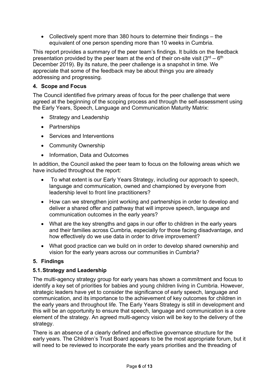Collectively spent more than 380 hours to determine their findings – the equivalent of one person spending more than 10 weeks in Cumbria.

This report provides a summary of the peer team's findings. It builds on the feedback presentation provided by the peer team at the end of their on-site visit  $(3<sup>rd</sup> - 6<sup>th</sup>)$ December 2019). By its nature, the peer challenge is a snapshot in time. We appreciate that some of the feedback may be about things you are already addressing and progressing.

### 4. Scope and Focus

The Council identified five primary areas of focus for the peer challenge that were agreed at the beginning of the scoping process and through the self-assessment using the Early Years, Speech, Language and Communication Maturity Matrix:

- Strategy and Leadership
- Partnerships
- Services and Interventions
- Community Ownership
- Information, Data and Outcomes

In addition, the Council asked the peer team to focus on the following areas which we have included throughout the report:

- To what extent is our Early Years Strategy, including our approach to speech, language and communication, owned and championed by everyone from leadership level to front line practitioners?
- How can we strengthen joint working and partnerships in order to develop and deliver a shared offer and pathway that will improve speech, language and communication outcomes in the early years?
- What are the key strengths and gaps in our offer to children in the early years and their families across Cumbria, especially for those facing disadvantage, and how effectively do we use data in order to drive improvement?
- What good practice can we build on in order to develop shared ownership and vision for the early years across our communities in Cumbria?

#### 5. Findings

## 5.1. Strategy and Leadership

The multi-agency strategy group for early years has shown a commitment and focus to identify a key set of priorities for babies and young children living in Cumbria. However, strategic leaders have yet to consider the significance of early speech, language and communication, and its importance to the achievement of key outcomes for children in the early years and throughout life. The Early Years Strategy is still in development and this will be an opportunity to ensure that speech, language and communication is a core element of the strategy. An agreed multi-agency vision will be key to the delivery of the strategy.

There is an absence of a clearly defined and effective governance structure for the early years. The Children's Trust Board appears to be the most appropriate forum, but it will need to be reviewed to incorporate the early years priorities and the threading of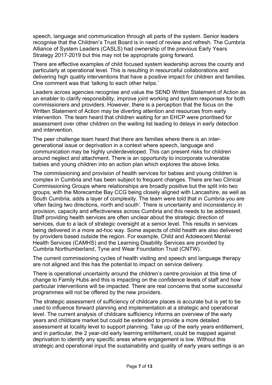speech, language and communication through all parts of the system. Senior leaders recognise that the Children's Trust Board is in need of review and refresh. The Cumbria Alliance of System Leaders (CASLS) had ownership of the previous Early Years Strategy 2017-2019 but this may not be appropriate going forward.

There are effective examples of child focused system leadership across the county and particularly at operational level. This is resulting in resourceful collaborations and delivering high quality interventions that have a positive impact for children and families. One comment was that 'talking to each other helps.'

Leaders across agencies recognise and value the SEND Written Statement of Action as an enabler to clarify responsibility, improve joint working and system responses for both commissioners and providers. However, there is a perception that the focus on the Written Statement of Action may be diverting attention and resources from early intervention. The team heard that children waiting for an EHCP were prioritised for assessment over other children on the waiting list leading to delays in early detection and intervention.

The peer challenge team heard that there are families where there is an intergenerational issue or deprivation in a context where speech, language and communication may be highly underdeveloped. This can present risks for children around neglect and attachment. There is an opportunity to incorporate vulnerable babies and young children into an action plan which explores the above links.

The commissioning and provision of health services for babies and young children is complex in Cumbria and has been subject to frequent changes. There are two Clinical Commissioning Groups where relationships are broadly positive but the split into two groups, with the Morecambe Bay CCG being closely aligned with Lancashire, as well as South Cumbria, adds a layer of complexity. The team were told that in Cumbria you are 'often facing two directions, north and south'. There is uncertainty and inconsistency in provision, capacity and effectiveness across Cumbria and this needs to be addressed. Staff providing health services are often unclear about the strategic direction of services, due to a lack of strategic oversight at a senior level. This results in services being delivered in a more ad-hoc way. Some aspects of child health are also delivered by providers based outside the region. For example, Child and Adolescent Mental Health Services (CAMHS) and the Learning Disability Services are provided by Cumbria Northumberland, Tyne and Wear Foundation Trust (CNTW).

The current commissioning cycles of health visiting and speech and language therapy are not aligned and this has the potential to impact on service delivery.

There is operational uncertainty around the children's centre provision at this time of change to Family Hubs and this is impacting on the confidence levels of staff and how particular interventions will be impacted. There are real concerns that some successful programmes will not be offered by the new providers.

The strategic assessment of sufficiency of childcare places is accurate but is yet to be used to influence forward planning and implementation at a strategic and operational level. The current analysis of childcare sufficiency informs an overview of the early years and childcare market but could be extended to provide a more detailed assessment at locality level to support planning. Take up of the early years entitlement, and in particular, the 2 year-old early learning entitlement, could be mapped against deprivation to identify any specific areas where engagement is low. Without this strategic and operational input the sustainability and quality of early years settings is an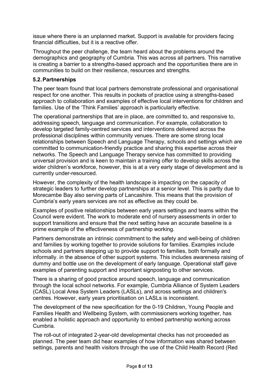issue where there is an unplanned market. Support is available for providers facing financial difficulties, but it is a reactive offer.

Throughout the peer challenge, the team heard about the problems around the demographics and geography of Cumbria. This was across all partners. This narrative is creating a barrier to a strengths-based approach and the opportunities there are in communities to build on their resilience, resources and strengths.

### 5.2. Partnerships

The peer team found that local partners demonstrate professional and organisational respect for one another. This results in pockets of practice using a strengths-based approach to collaboration and examples of effective local interventions for children and families. Use of the 'Think Families' approach is particularly effective.

The operational partnerships that are in place, are committed to, and responsive to, addressing speech, language and communication. For example, collaboration to develop targeted family-centred services and interventions delivered across the professional disciplines within community venues. There are some strong local relationships between Speech and Language Therapy, schools and settings which are committed to communication-friendly practice and sharing this expertise across their networks. The Speech and Language Therapy service has committed to providing universal provision and is keen to maintain a training offer to develop skills across the wider children's workforce, however, this is at a very early stage of development and is currently under-resourced.

However, the complexity of the health landscape is impacting on the capacity of strategic leaders to further develop partnerships at a senior level. This is partly due to Morecambe Bay also serving parts of Lancashire. This means that the provision of Cumbria's early years services are not as effective as they could be.

Examples of positive relationships between early years settings and teams within the Council were evident. The work to moderate end of nursery assessments in order to support transitions and ensure that the next setting have an accurate baseline is a prime example of the effectiveness of partnership working.

Partners demonstrate an intrinsic commitment to the safety and well-being of children and families by working together to provide solutions for families. Examples include schools and partners stepping up to provide support to families, both formally and informally. in the absence of other support systems. This includes awareness raising of dummy and bottle use on the development of early language. Operational staff gave examples of parenting support and important signposting to other services.

There is a sharing of good practice around speech, language and communication through the local school networks. For example, Cumbria Alliance of System Leaders (CASL) Local Area System Leaders (LASLs), and across settings and children's centres. However, early years prioritisation on LASLs is inconsistent.

The development of the new specification for the 0-19 Children, Young People and Families Health and Wellbeing System, with commissioners working together, has enabled a holistic approach and opportunity to embed partnership working across Cumbria.

The roll-out of integrated 2-year-old developmental checks has not proceeded as planned. The peer team did hear examples of how information was shared between settings, parents and health visitors through the use of the Child Health Record (Red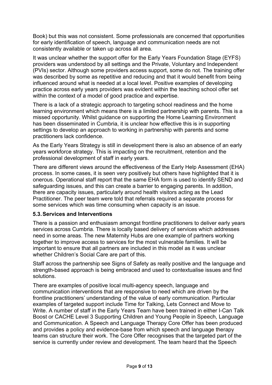Book) but this was not consistent. Some professionals are concerned that opportunities for early identification of speech, language and communication needs are not consistently available or taken up across all area.

It was unclear whether the support offer for the Early Years Foundation Stage (EYFS) providers was understood by all settings and the Private, Voluntary and Independent (PVIs) sector. Although some providers access support, some do not. The training offer was described by some as repetitive and reducing and that it would benefit from being influenced around what is needed at a local level. Positive examples of developing practice across early years providers was evident within the teaching school offer set within the context of a model of good practice and expertise.

There is a lack of a strategic approach to targeting school readiness and the home learning environment which means there is a limited partnership with parents. This is a missed opportunity. Whilst guidance on supporting the Home Learning Environment has been disseminated in Cumbria, it is unclear how effective this is in supporting settings to develop an approach to working in partnership with parents and some practitioners lack confidence.

As the Early Years Strategy is still in development there is also an absence of an early years workforce strategy. This is impacting on the recruitment, retention and the professional development of staff in early years.

There are different views around the effectiveness of the Early Help Assessment (EHA) process. In some cases, it is seen very positively but others have highlighted that it is onerous. Operational staff report that the same EHA form is used to identify SEND and safeguarding issues, and this can create a barrier to engaging parents. In addition, there are capacity issues, particularly around health visitors acting as the Lead Practitioner. The peer team were told that referrals required a separate process for some services which was time consuming when capacity is an issue.

#### 5.3. Services and Interventions

There is a passion and enthusiasm amongst frontline practitioners to deliver early years services across Cumbria. There is locally based delivery of services which addresses need in some areas. The new Maternity Hubs are one example of partners working together to improve access to services for the most vulnerable families. It will be important to ensure that all partners are included in this model as it was unclear whether Children's Social Care are part of this.

Staff across the partnership see Signs of Safety as really positive and the language and strength-based approach is being embraced and used to contextualise issues and find solutions.

There are examples of positive local multi-agency speech, language and communication interventions that are responsive to need which are driven by the frontline practitioners' understanding of the value of early communication. Particular examples of targeted support include Time for Talking, Lets Connect and Move to Write. A number of staff in the Early Years Team have been trained in either I-Can Talk Boost or CACHE Level 3 Supporting Children and Young People in Speech, Language and Communication. A Speech and Language Therapy Core Offer has been produced and provides a policy and evidence-base from which speech and language therapy teams can structure their work. The Core Offer recognises that the targeted part of the service is currently under review and development. The team heard that the Speech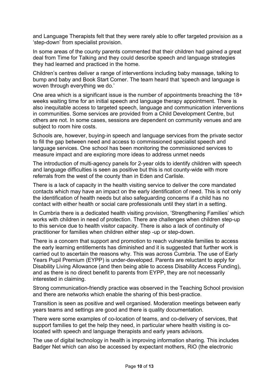and Language Therapists felt that they were rarely able to offer targeted provision as a 'step-down' from specialist provision.

In some areas of the county parents commented that their children had gained a great deal from Time for Talking and they could describe speech and language strategies they had learned and practiced in the home.

Children's centres deliver a range of interventions including baby massage, talking to bump and baby and Book Start Corner. The team heard that 'speech and language is woven through everything we do.'

One area which is a significant issue is the number of appointments breaching the 18+ weeks waiting time for an initial speech and language therapy appointment. There is also inequitable access to targeted speech, language and communication interventions in communities. Some services are provided from a Child Development Centre, but others are not. In some cases, sessions are dependent on community venues and are subject to room hire costs.

Schools are, however, buying-in speech and language services from the private sector to fill the gap between need and access to commissioned specialist speech and language services. One school has been monitoring the commissioned services to measure impact and are exploring more ideas to address unmet needs

The introduction of multi-agency panels for 2-year olds to identify children with speech and language difficulties is seen as positive but this is not county-wide with more referrals from the west of the county than in Eden and Carlisle.

There is a lack of capacity in the health visiting service to deliver the core mandated contacts which may have an impact on the early identification of need. This is not only the identification of health needs but also safeguarding concerns if a child has no contact with either health or social care professionals until they start in a setting.

In Cumbria there is a dedicated health visiting provision, 'Strengthening Families' which works with children in need of protection. There are challenges when children step-up to this service due to health visitor capacity. There is also a lack of continuity of practitioner for families when children either step -up or step-down.

There is a concern that support and promotion to reach vulnerable families to access the early learning entitlements has diminished and it is suggested that further work is carried out to ascertain the reasons why. This was across Cumbria. The use of Early Years Pupil Premium (EYPP) is under-developed. Parents are reluctant to apply for Disability Living Allowance (and then being able to access Disability Access Funding), and as there is no direct benefit to parents from EYPP, they are not necessarily interested in claiming.

Strong communication-friendly practice was observed in the Teaching School provision and there are networks which enable the sharing of this best-practice.

Transition is seen as positive and well organised. Moderation meetings between early years teams and settings are good and there is quality documentation.

There were some examples of co-location of teams, and co-delivery of services, that support families to get the help they need, in particular where health visiting is colocated with speech and language therapists and early years advisors.

The use of digital technology in health is improving information sharing. This includes Badger Net which can also be accessed by expectant mothers, RiO (the electronic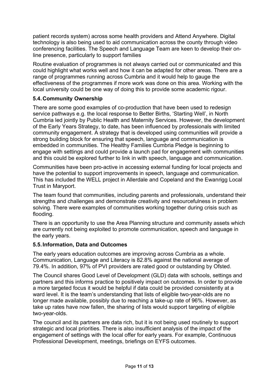patient records system) across some health providers and Attend Anywhere. Digital technology is also being used to aid communication across the county through video conferencing facilities. The Speech and Language Team are keen to develop their online presence, particularly to support families

Routine evaluation of programmes is not always carried out or communicated and this could highlight what works well and how it can be adapted for other areas. There are a range of programmes running across Cumbria and it would help to gauge the effectiveness of the programmes if more work was done on this area. Working with the local university could be one way of doing this to provide some academic rigour.

### 5.4. Community Ownership

There are some good examples of co-production that have been used to redesign service pathways e.g. the local response to Better Births, 'Starting Well', in North Cumbria led jointly by Public Health and Maternity Services. However, the development of the Early Years Strategy, to date, has been influenced by professionals with limited community engagement. A strategy that is developed using communities will provide a strong building block for ensuring that speech, language and communication is embedded in communities. The Healthy Families Cumbria Pledge is beginning to engage with settings and could provide a launch pad for engagement with communities and this could be explored further to link in with speech, language and communication.

Communities have been pro-active in accessing external funding for local projects and have the potential to support improvements in speech, language and communication. This has included the WELL project in Allerdale and Copeland and the Ewanrigg Local Trust in Maryport.

The team found that communities, including parents and professionals, understand their strengths and challenges and demonstrate creativity and resourcefulness in problem solving. There were examples of communities working together during crisis such as flooding.

There is an opportunity to use the Area Planning structure and community assets which are currently not being exploited to promote communication, speech and language in the early years.

#### 5.5. Information, Data and Outcomes

The early years education outcomes are improving across Cumbria as a whole. Communication, Language and Literacy is 82.8% against the national average of 79.4%. In addition, 97% of PVI providers are rated good or outstanding by Ofsted.

The Council shares Good Level of Development (GLD) data with schools, settings and partners and this informs practice to positively impact on outcomes. In order to provide a more targeted focus it would be helpful if data could be provided consistently at a ward level. It is the team's understanding that lists of eligible two-year-olds are no longer made available, possibly due to reaching a take-up rate of 96%. However, as take up rates have now fallen, the sharing of lists would support targeting of eligible two-year-olds.

The council and its partners are data rich, but it is not being used routinely to support strategic and local priorities. There is also insufficient analysis of the impact of the engagement of settings with the local offer for early years. For example, Continuous Professional Development, meetings, briefings on EYFS outcomes.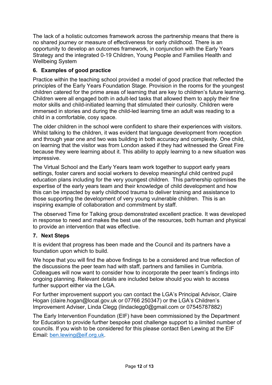The lack of a holistic outcomes framework across the partnership means that there is no shared journey or measure of effectiveness for early childhood. There is an opportunity to develop an outcomes framework, in conjunction with the Early Years Strategy and the integrated 0-19 Children, Young People and Families Health and Wellbeing System

## 6. Examples of good practice

Practice within the teaching school provided a model of good practice that reflected the principles of the Early Years Foundation Stage. Provision in the rooms for the youngest children catered for the prime areas of learning that are key to children's future learning. Children were all engaged both in adult-led tasks that allowed them to apply their fine motor skills and child-initiated learning that stimulated their curiosity. Children were immersed in stories and during the child-led learning time an adult was reading to a child in a comfortable, cosy space.

The older children in the school were confident to share their experiences with visitors. Whilst talking to the children, it was evident that language development from reception and through year one and two was building in both accuracy and complexity. One child, on learning that the visitor was from London asked if they had witnessed the Great Fire because they were learning about it. This ability to apply learning to a new situation was impressive.

The Virtual School and the Early Years team work together to support early years settings, foster carers and social workers to develop meaningful child centred pupil education plans including for the very youngest children. This partnership optimises the expertise of the early years team and their knowledge of child development and how this can be impacted by early childhood trauma to deliver training and assistance to those supporting the development of very young vulnerable children. This is an inspiring example of collaboration and commitment by staff.

The observed Time for Talking group demonstrated excellent practice. It was developed in response to need and makes the best use of the resources, both human and physical to provide an intervention that was effective.

## 7. Next Steps

It is evident that progress has been made and the Council and its partners have a foundation upon which to build.

We hope that you will find the above findings to be a considered and true reflection of the discussions the peer team had with staff, partners and families in Cumbria. Colleagues will now want to consider how to incorporate the peer team's findings into ongoing planning. Relevant details are included below should you wish to access further support either via the LGA.

For further improvement support you can contact the LGA's Principal Advisor, Claire Hogan (claire.hogan@local.gov.uk or 07766 250347) or the LGA's Children's Improvement Adviser, Linda Clegg (lindaclegg0@gmail.com or 07545787882)

The Early Intervention Foundation (EIF) have been commissioned by the Department for Education to provide further bespoke post challenge support to a limited number of councils. If you wish to be considered for this please contact Ben Lewing at the EIF Email: ben.lewing@eif.org.uk.